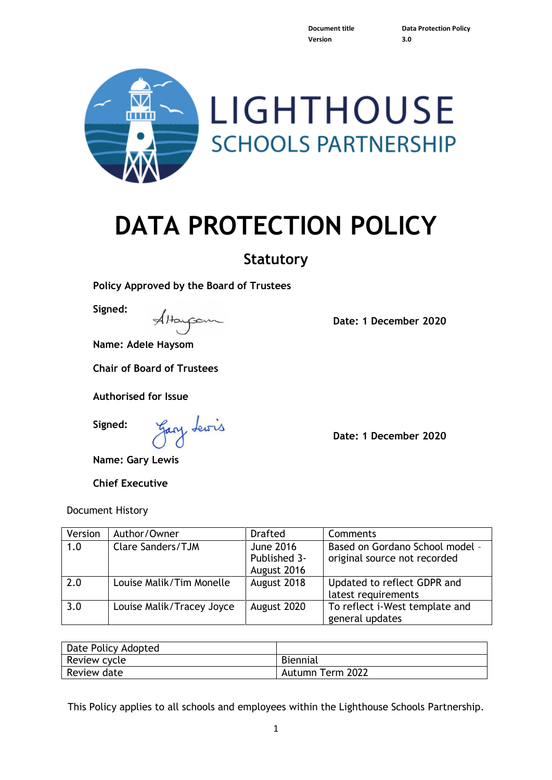**Version 3.0**

**Document title Data Protection Policy**



# **DATA PROTECTION POLICY**

# **Statutory**

**Policy Approved by the Board of Trustees**

**Signed:**

Attappon

**Name: Adele Haysom**

**Chair of Board of Trustees**

**Authorised for Issue**

**Signed:**

Gary Lewis

**Name: Gary Lewis**

**Chief Executive**

#### Document History

Version Author/Owner I Drafted Comments 1.0 Clare Sanders/TJM June 2016 Published 3- August 2016 Based on Gordano School model – original source not recorded 2.0 Clouise Malik/Tim Monelle | August 2018 | Updated to reflect GDPR and latest requirements 3.0 | Louise Malik/Tracey Joyce | August 2020 | To reflect i-West template and general updates

| Date Policy Adopted |                  |
|---------------------|------------------|
| Review cycle        | <b>Biennial</b>  |
| Review date         | Autumn Term 2022 |

This Policy applies to all schools and employees within the Lighthouse Schools Partnership.

**Date: 1 December 2020**

**Date: 1 December 2020**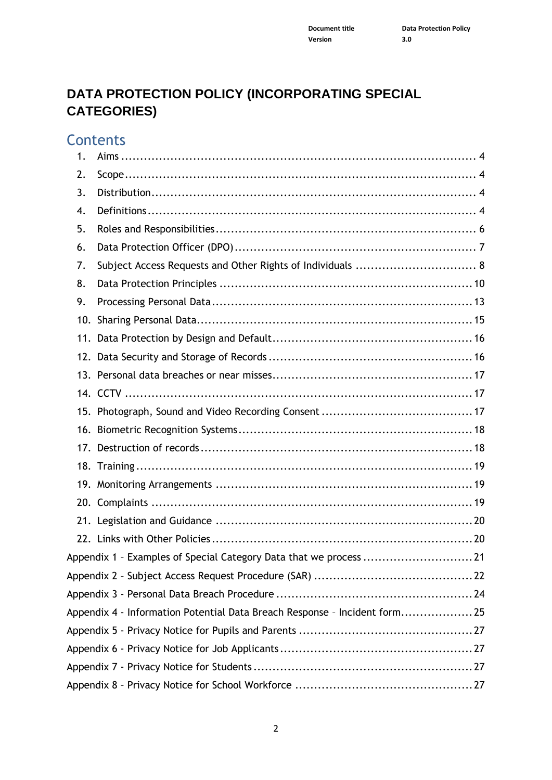## **DATA PROTECTION POLICY (INCORPORATING SPECIAL CATEGORIES)**

**Contents** 

| 1.  |                                                                           |  |
|-----|---------------------------------------------------------------------------|--|
| 2.  |                                                                           |  |
| 3.  |                                                                           |  |
| 4.  |                                                                           |  |
| 5.  |                                                                           |  |
| 6.  |                                                                           |  |
| 7.  |                                                                           |  |
| 8.  |                                                                           |  |
| 9.  |                                                                           |  |
| 10. |                                                                           |  |
|     |                                                                           |  |
| 12. |                                                                           |  |
|     |                                                                           |  |
|     |                                                                           |  |
|     |                                                                           |  |
|     |                                                                           |  |
|     |                                                                           |  |
|     |                                                                           |  |
|     |                                                                           |  |
|     |                                                                           |  |
|     |                                                                           |  |
|     |                                                                           |  |
|     | Appendix 1 - Examples of Special Category Data that we process 21         |  |
|     |                                                                           |  |
|     |                                                                           |  |
|     | Appendix 4 - Information Potential Data Breach Response - Incident form25 |  |
|     |                                                                           |  |
|     |                                                                           |  |
|     |                                                                           |  |
|     |                                                                           |  |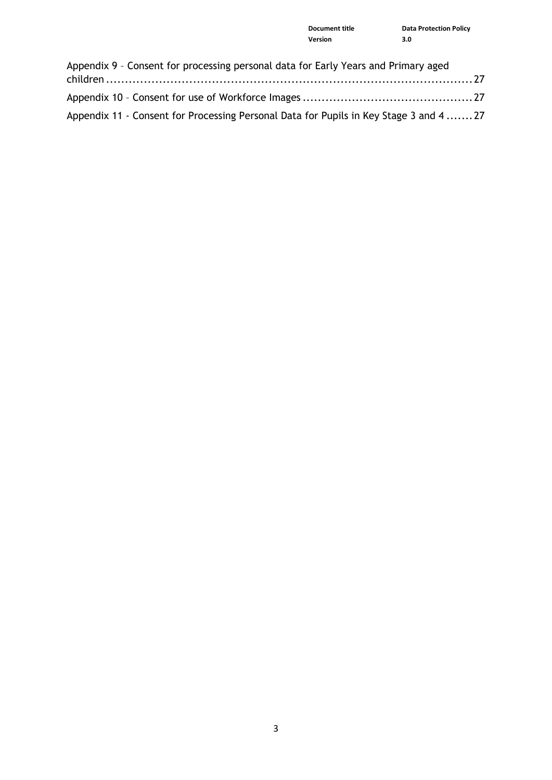| <b>Document title</b> | <b>Data Protection Policy</b> |
|-----------------------|-------------------------------|
| Version               | 3.0                           |

| Appendix 9 - Consent for processing personal data for Early Years and Primary aged     |  |
|----------------------------------------------------------------------------------------|--|
|                                                                                        |  |
|                                                                                        |  |
| Appendix 11 - Consent for Processing Personal Data for Pupils in Key Stage 3 and 4  27 |  |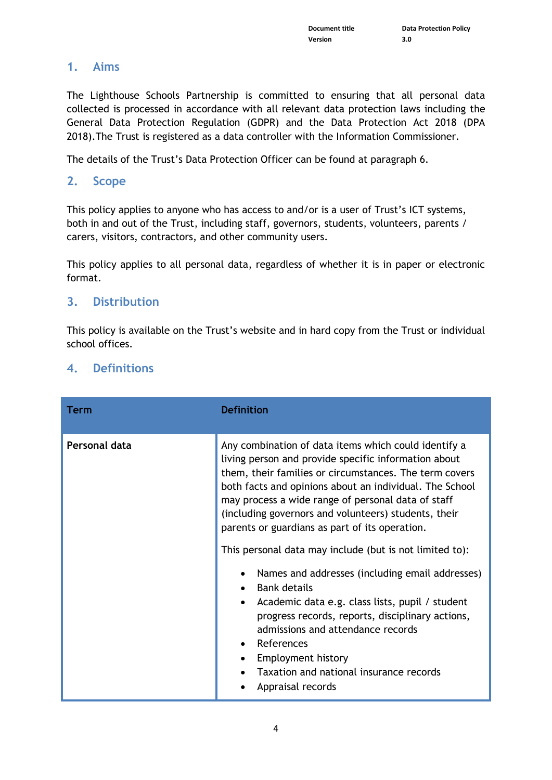## <span id="page-3-0"></span>**1. Aims**

The Lighthouse Schools Partnership is committed to ensuring that all personal data collected is processed in accordance with all relevant data protection laws including the General Data Protection Regulation (GDPR) and the Data Protection Act 2018 (DPA 2018).The Trust is registered as a data controller with the Information Commissioner.

The details of the Trust's Data Protection Officer can be found at paragraph 6.

## <span id="page-3-1"></span>**2. Scope**

This policy applies to anyone who has access to and/or is a user of Trust's ICT systems, both in and out of the Trust, including staff, governors, students, volunteers, parents / carers, visitors, contractors, and other community users.

This policy applies to all personal data, regardless of whether it is in paper or electronic format.

## <span id="page-3-2"></span>**3. Distribution**

This policy is available on the Trust's website and in hard copy from the Trust or individual school offices.

## <span id="page-3-3"></span>**4. Definitions**

| Term          | <b>Definition</b>                                                                                                                                                                                                                                                                                                                                                                                                                                                                                                                      |  |
|---------------|----------------------------------------------------------------------------------------------------------------------------------------------------------------------------------------------------------------------------------------------------------------------------------------------------------------------------------------------------------------------------------------------------------------------------------------------------------------------------------------------------------------------------------------|--|
| Personal data | Any combination of data items which could identify a<br>living person and provide specific information about<br>them, their families or circumstances. The term covers<br>both facts and opinions about an individual. The School<br>may process a wide range of personal data of staff<br>(including governors and volunteers) students, their<br>parents or guardians as part of its operation.<br>This personal data may include (but is not limited to):<br>Names and addresses (including email addresses)<br><b>Bank details</b> |  |
|               | Academic data e.g. class lists, pupil / student<br>progress records, reports, disciplinary actions,<br>admissions and attendance records<br>References<br>Employment history<br>Taxation and national insurance records<br>Appraisal records                                                                                                                                                                                                                                                                                           |  |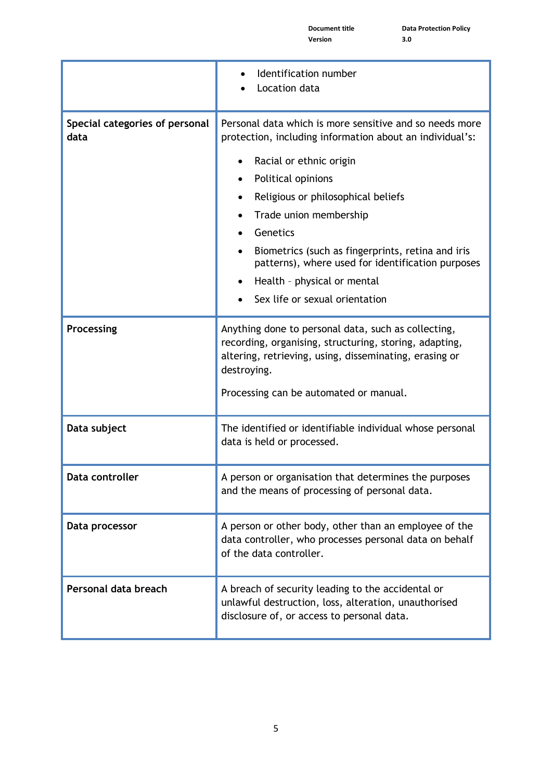|                                        | Identification number<br>Location data                                                                                                                                                                                                                              |  |
|----------------------------------------|---------------------------------------------------------------------------------------------------------------------------------------------------------------------------------------------------------------------------------------------------------------------|--|
| Special categories of personal<br>data | Personal data which is more sensitive and so needs more<br>protection, including information about an individual's:<br>Racial or ethnic origin<br>Political opinions<br>$\bullet$<br>Religious or philosophical beliefs<br>٠<br>Trade union membership<br>$\bullet$ |  |
|                                        | Genetics<br>Biometrics (such as fingerprints, retina and iris<br>$\bullet$<br>patterns), where used for identification purposes<br>Health - physical or mental<br>Sex life or sexual orientation                                                                    |  |
| Processing                             | Anything done to personal data, such as collecting,<br>recording, organising, structuring, storing, adapting,<br>altering, retrieving, using, disseminating, erasing or<br>destroying.<br>Processing can be automated or manual.                                    |  |
| Data subject                           | The identified or identifiable individual whose personal<br>data is held or processed.                                                                                                                                                                              |  |
| Data controller                        | A person or organisation that determines the purposes<br>and the means of processing of personal data.                                                                                                                                                              |  |
| Data processor                         | A person or other body, other than an employee of the<br>data controller, who processes personal data on behalf<br>of the data controller.                                                                                                                          |  |
| Personal data breach                   | A breach of security leading to the accidental or<br>unlawful destruction, loss, alteration, unauthorised<br>disclosure of, or access to personal data.                                                                                                             |  |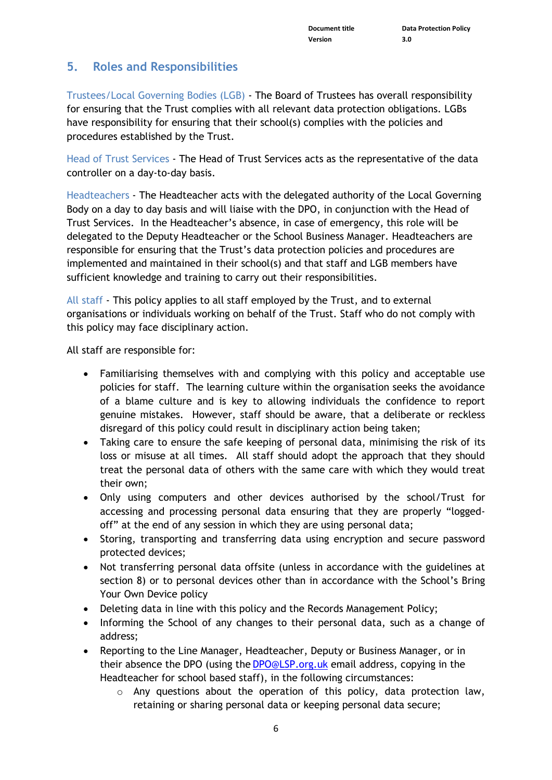## <span id="page-5-0"></span>**5. Roles and Responsibilities**

Trustees/Local Governing Bodies (LGB) - The Board of Trustees has overall responsibility for ensuring that the Trust complies with all relevant data protection obligations. LGBs have responsibility for ensuring that their school(s) complies with the policies and procedures established by the Trust.

Head of Trust Services - The Head of Trust Services acts as the representative of the data controller on a day-to-day basis.

Headteachers - The Headteacher acts with the delegated authority of the Local Governing Body on a day to day basis and will liaise with the DPO, in conjunction with the Head of Trust Services. In the Headteacher's absence, in case of emergency, this role will be delegated to the Deputy Headteacher or the School Business Manager. Headteachers are responsible for ensuring that the Trust's data protection policies and procedures are implemented and maintained in their school(s) and that staff and LGB members have sufficient knowledge and training to carry out their responsibilities.

All staff - This policy applies to all staff employed by the Trust, and to external organisations or individuals working on behalf of the Trust. Staff who do not comply with this policy may face disciplinary action.

All staff are responsible for:

- Familiarising themselves with and complying with this policy and acceptable use policies for staff. The learning culture within the organisation seeks the avoidance of a blame culture and is key to allowing individuals the confidence to report genuine mistakes. However, staff should be aware, that a deliberate or reckless disregard of this policy could result in disciplinary action being taken;
- Taking care to ensure the safe keeping of personal data, minimising the risk of its loss or misuse at all times. All staff should adopt the approach that they should treat the personal data of others with the same care with which they would treat their own;
- Only using computers and other devices authorised by the school/Trust for accessing and processing personal data ensuring that they are properly "loggedoff" at the end of any session in which they are using personal data;
- Storing, transporting and transferring data using encryption and secure password protected devices;
- Not transferring personal data offsite (unless in accordance with the guidelines at section 8) or to personal devices other than in accordance with the School's Bring Your Own Device policy
- Deleting data in line with this policy and the Records Management Policy;
- Informing the School of any changes to their personal data, such as a change of address;
- Reporting to the Line Manager, Headteacher, Deputy or Business Manager, or in their absence the DPO (using the [DPO@LSP.org.uk](mailto:DPO@LSP.org.uk) email address, copying in the Headteacher for school based staff), in the following circumstances:
	- $\circ$  Any questions about the operation of this policy, data protection law, retaining or sharing personal data or keeping personal data secure;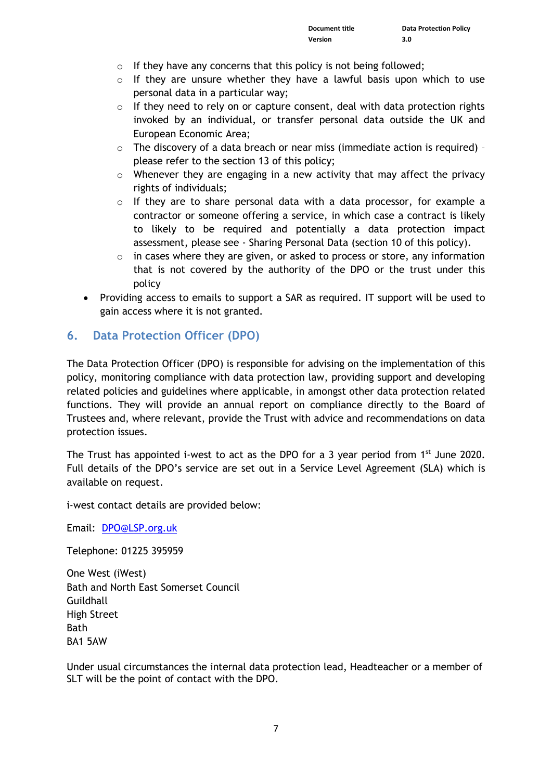- $\circ$  If they have any concerns that this policy is not being followed;
- o If they are unsure whether they have a lawful basis upon which to use personal data in a particular way;
- $\circ$  If they need to rely on or capture consent, deal with data protection rights invoked by an individual, or transfer personal data outside the UK and European Economic Area;
- o The discovery of a data breach or near miss (immediate action is required) please refer to the section 13 of this policy;
- o Whenever they are engaging in a new activity that may affect the privacy rights of individuals;
- $\circ$  If they are to share personal data with a data processor, for example a contractor or someone offering a service, in which case a contract is likely to likely to be required and potentially a data protection impact assessment, please see - Sharing Personal Data (section 10 of this policy).
- $\circ$  in cases where they are given, or asked to process or store, any information that is not covered by the authority of the DPO or the trust under this policy
- Providing access to emails to support a SAR as required. IT support will be used to gain access where it is not granted.

## <span id="page-6-0"></span>**6. Data Protection Officer (DPO)**

The Data Protection Officer (DPO) is responsible for advising on the implementation of this policy, monitoring compliance with data protection law, providing support and developing related policies and guidelines where applicable, in amongst other data protection related functions. They will provide an annual report on compliance directly to the Board of Trustees and, where relevant, provide the Trust with advice and recommendations on data protection issues.

The Trust has appointed i-west to act as the DPO for a 3 year period from 1<sup>st</sup> June 2020. Full details of the DPO's service are set out in a Service Level Agreement (SLA) which is available on request.

i-west contact details are provided below:

Email: [DPO@LSP.org.uk](mailto:DPO@LSP.org.uk) 

Telephone: 01225 395959

One West (iWest) Bath and North East Somerset Council **Guildhall** High Street **Bath** BA1 5AW

Under usual circumstances the internal data protection lead, Headteacher or a member of SLT will be the point of contact with the DPO.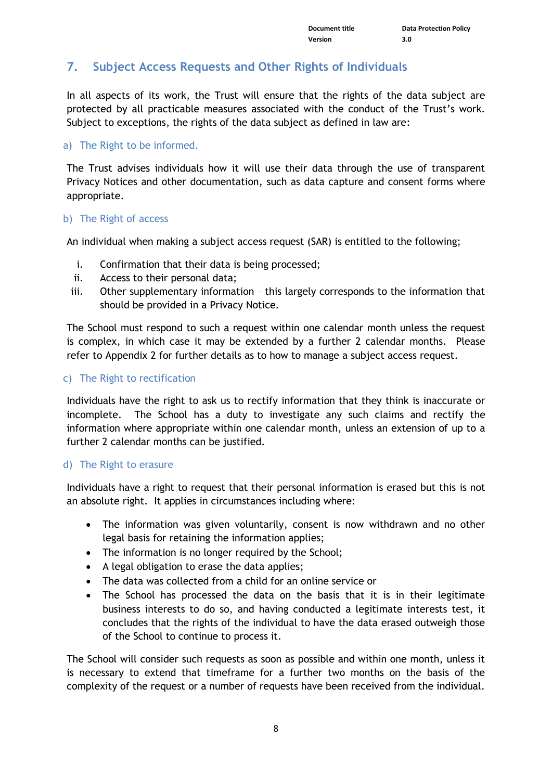## <span id="page-7-0"></span>**7. Subject Access Requests and Other Rights of Individuals**

In all aspects of its work, the Trust will ensure that the rights of the data subject are protected by all practicable measures associated with the conduct of the Trust's work. Subject to exceptions, the rights of the data subject as defined in law are:

#### a) The Right to be informed.

The Trust advises individuals how it will use their data through the use of transparent Privacy Notices and other documentation, such as data capture and consent forms where appropriate.

#### b) The Right of access

An individual when making a subject access request (SAR) is entitled to the following;

- i. Confirmation that their data is being processed;
- ii. Access to their personal data;
- iii. Other supplementary information this largely corresponds to the information that should be provided in a Privacy Notice.

The School must respond to such a request within one calendar month unless the request is complex, in which case it may be extended by a further 2 calendar months. Please refer to Appendix 2 for further details as to how to manage a subject access request.

#### c) The Right to rectification

Individuals have the right to ask us to rectify information that they think is inaccurate or incomplete. The School has a duty to investigate any such claims and rectify the information where appropriate within one calendar month, unless an extension of up to a further 2 calendar months can be justified.

#### d) The Right to erasure

Individuals have a right to request that their personal information is erased but this is not an absolute right. It applies in circumstances including where:

- The information was given voluntarily, consent is now withdrawn and no other legal basis for retaining the information applies;
- The information is no longer required by the School;
- A legal obligation to erase the data applies;
- The data was collected from a child for an online service or
- The School has processed the data on the basis that it is in their legitimate business interests to do so, and having conducted a legitimate interests test, it concludes that the rights of the individual to have the data erased outweigh those of the School to continue to process it.

The School will consider such requests as soon as possible and within one month, unless it is necessary to extend that timeframe for a further two months on the basis of the complexity of the request or a number of requests have been received from the individual.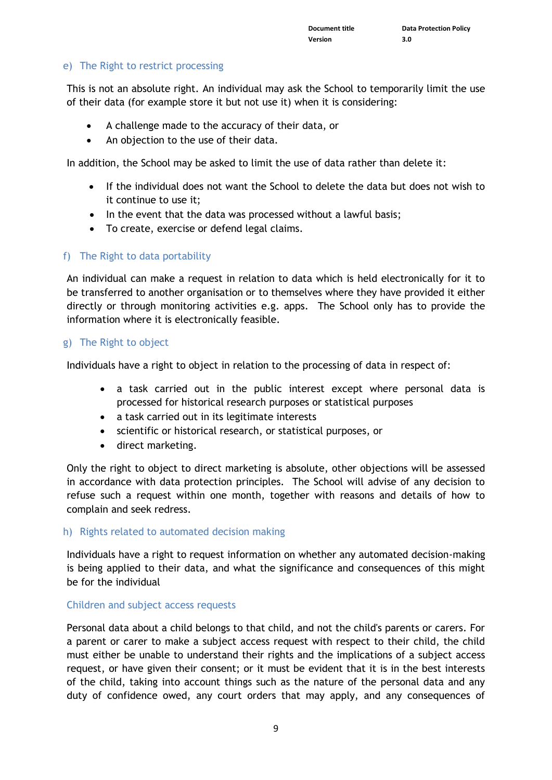#### e) The Right to restrict processing

This is not an absolute right. An individual may ask the School to temporarily limit the use of their data (for example store it but not use it) when it is considering:

- A challenge made to the accuracy of their data, or
- An objection to the use of their data.

In addition, the School may be asked to limit the use of data rather than delete it:

- If the individual does not want the School to delete the data but does not wish to it continue to use it;
- In the event that the data was processed without a lawful basis;
- To create, exercise or defend legal claims.

#### f) The Right to data portability

An individual can make a request in relation to data which is held electronically for it to be transferred to another organisation or to themselves where they have provided it either directly or through monitoring activities e.g. apps. The School only has to provide the information where it is electronically feasible.

#### g) The Right to object

Individuals have a right to object in relation to the processing of data in respect of:

- a task carried out in the public interest except where personal data is processed for historical research purposes or statistical purposes
- a task carried out in its legitimate interests
- scientific or historical research, or statistical purposes, or
- direct marketing.

Only the right to object to direct marketing is absolute, other objections will be assessed in accordance with data protection principles. The School will advise of any decision to refuse such a request within one month, together with reasons and details of how to complain and seek redress.

#### h) Rights related to automated decision making

Individuals have a right to request information on whether any automated decision-making is being applied to their data, and what the significance and consequences of this might be for the individual

#### Children and subject access requests

Personal data about a child belongs to that child, and not the child's parents or carers. For a parent or carer to make a subject access request with respect to their child, the child must either be unable to understand their rights and the implications of a subject access request, or have given their consent; or it must be evident that it is in the best interests of the child, taking into account things such as the nature of the personal data and any duty of confidence owed, any court orders that may apply, and any consequences of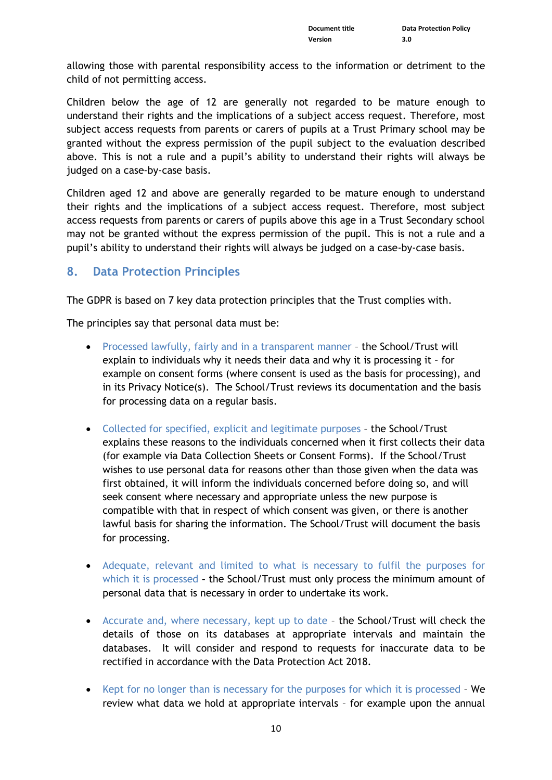allowing those with parental responsibility access to the information or detriment to the child of not permitting access.

Children below the age of 12 are generally not regarded to be mature enough to understand their rights and the implications of a subject access request. Therefore, most subject access requests from parents or carers of pupils at a Trust Primary school may be granted without the express permission of the pupil subject to the evaluation described above. This is not a rule and a pupil's ability to understand their rights will always be judged on a case-by-case basis.

Children aged 12 and above are generally regarded to be mature enough to understand their rights and the implications of a subject access request. Therefore, most subject access requests from parents or carers of pupils above this age in a Trust Secondary school may not be granted without the express permission of the pupil. This is not a rule and a pupil's ability to understand their rights will always be judged on a case-by-case basis.

#### <span id="page-9-0"></span>**8. Data Protection Principles**

The GDPR is based on 7 key data protection principles that the Trust complies with.

The principles say that personal data must be:

- Processed lawfully, fairly and in a transparent manner the School/Trust will explain to individuals why it needs their data and why it is processing it – for example on consent forms (where consent is used as the basis for processing), and in its Privacy Notice(s). The School/Trust reviews its documentation and the basis for processing data on a regular basis.
- Collected for specified, explicit and legitimate purposes the School/Trust explains these reasons to the individuals concerned when it first collects their data (for example via Data Collection Sheets or Consent Forms). If the School/Trust wishes to use personal data for reasons other than those given when the data was first obtained, it will inform the individuals concerned before doing so, and will seek consent where necessary and appropriate unless the new purpose is compatible with that in respect of which consent was given, or there is another lawful basis for sharing the information. The School/Trust will document the basis for processing.
- Adequate, relevant and limited to what is necessary to fulfil the purposes for which it is processed **-** the School/Trust must only process the minimum amount of personal data that is necessary in order to undertake its work.
- Accurate and, where necessary, kept up to date the School/Trust will check the details of those on its databases at appropriate intervals and maintain the databases. It will consider and respond to requests for inaccurate data to be rectified in accordance with the Data Protection Act 2018.
- Kept for no longer than is necessary for the purposes for which it is processed We review what data we hold at appropriate intervals – for example upon the annual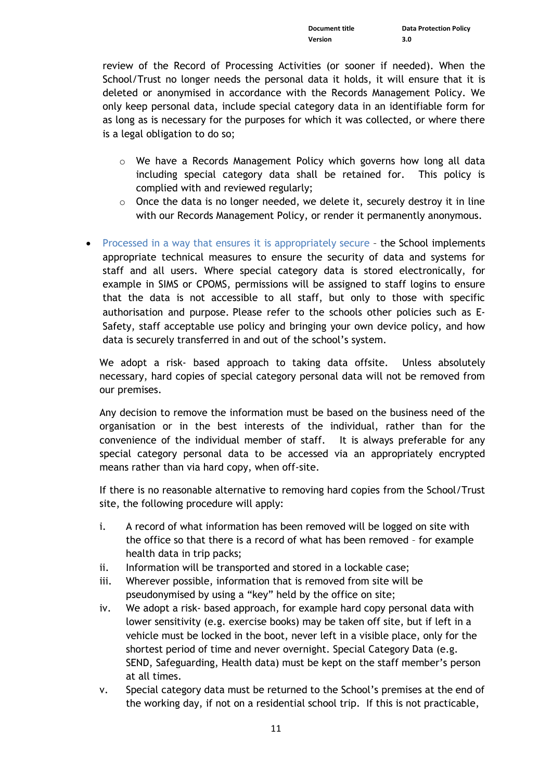review of the Record of Processing Activities (or sooner if needed). When the School/Trust no longer needs the personal data it holds, it will ensure that it is deleted or anonymised in accordance with the Records Management Policy. We only keep personal data, include special category data in an identifiable form for as long as is necessary for the purposes for which it was collected, or where there is a legal obligation to do so;

- $\circ$  We have a Records Management Policy which governs how long all data including special category data shall be retained for. This policy is complied with and reviewed regularly;
- $\circ$  Once the data is no longer needed, we delete it, securely destroy it in line with our Records Management Policy, or render it permanently anonymous.
- Processed in a way that ensures it is appropriately secure the School implements appropriate technical measures to ensure the security of data and systems for staff and all users. Where special category data is stored electronically, for example in SIMS or CPOMS, permissions will be assigned to staff logins to ensure that the data is not accessible to all staff, but only to those with specific authorisation and purpose. Please refer to the schools other policies such as E-Safety, staff acceptable use policy and bringing your own device policy, and how data is securely transferred in and out of the school's system.

We adopt a risk- based approach to taking data offsite. Unless absolutely necessary, hard copies of special category personal data will not be removed from our premises.

Any decision to remove the information must be based on the business need of the organisation or in the best interests of the individual, rather than for the convenience of the individual member of staff. It is always preferable for any special category personal data to be accessed via an appropriately encrypted means rather than via hard copy, when off-site.

If there is no reasonable alternative to removing hard copies from the School/Trust site, the following procedure will apply:

- i. A record of what information has been removed will be logged on site with the office so that there is a record of what has been removed – for example health data in trip packs;
- ii. Information will be transported and stored in a lockable case;
- iii. Wherever possible, information that is removed from site will be pseudonymised by using a "key" held by the office on site;
- iv. We adopt a risk- based approach, for example hard copy personal data with lower sensitivity (e.g. exercise books) may be taken off site, but if left in a vehicle must be locked in the boot, never left in a visible place, only for the shortest period of time and never overnight. Special Category Data (e.g. SEND, Safeguarding, Health data) must be kept on the staff member's person at all times.
- v. Special category data must be returned to the School's premises at the end of the working day, if not on a residential school trip. If this is not practicable,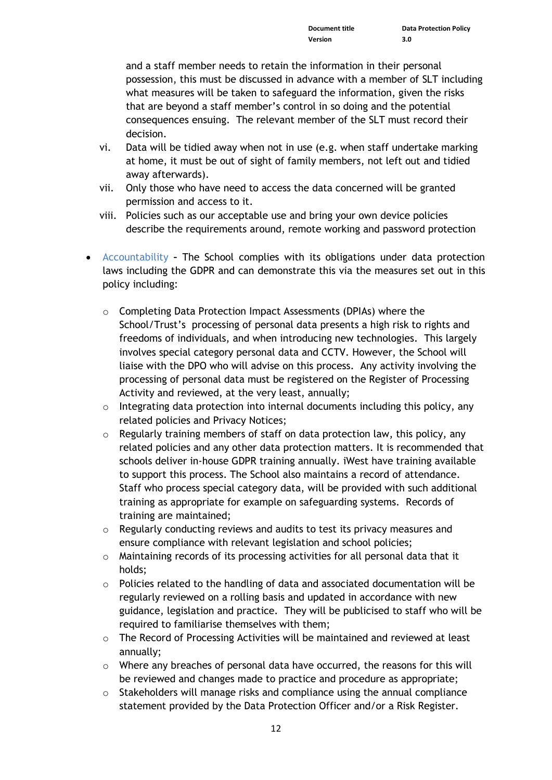and a staff member needs to retain the information in their personal possession, this must be discussed in advance with a member of SLT including what measures will be taken to safeguard the information, given the risks that are beyond a staff member's control in so doing and the potential consequences ensuing. The relevant member of the SLT must record their decision.

- vi. Data will be tidied away when not in use (e.g. when staff undertake marking at home, it must be out of sight of family members, not left out and tidied away afterwards).
- vii. Only those who have need to access the data concerned will be granted permission and access to it.
- viii. Policies such as our acceptable use and bring your own device policies describe the requirements around, remote working and password protection
- Accountability **–** The School complies with its obligations under data protection laws including the GDPR and can demonstrate this via the measures set out in this policy including:
	- o Completing Data Protection Impact Assessments (DPIAs) where the School/Trust's processing of personal data presents a high risk to rights and freedoms of individuals, and when introducing new technologies. This largely involves special category personal data and CCTV. However, the School will liaise with the DPO who will advise on this process. Any activity involving the processing of personal data must be registered on the Register of Processing Activity and reviewed, at the very least, annually;
	- $\circ$  Integrating data protection into internal documents including this policy, any related policies and Privacy Notices;
	- $\circ$  Regularly training members of staff on data protection law, this policy, any related policies and any other data protection matters. It is recommended that schools deliver in-house GDPR training annually. iWest have training available to support this process. The School also maintains a record of attendance. Staff who process special category data, will be provided with such additional training as appropriate for example on safeguarding systems. Records of training are maintained;
	- o Regularly conducting reviews and audits to test its privacy measures and ensure compliance with relevant legislation and school policies;
	- $\circ$  Maintaining records of its processing activities for all personal data that it holds;
	- $\circ$  Policies related to the handling of data and associated documentation will be regularly reviewed on a rolling basis and updated in accordance with new guidance, legislation and practice. They will be publicised to staff who will be required to familiarise themselves with them;
	- o The Record of Processing Activities will be maintained and reviewed at least annually;
	- $\circ$  Where any breaches of personal data have occurred, the reasons for this will be reviewed and changes made to practice and procedure as appropriate;
	- $\circ$  Stakeholders will manage risks and compliance using the annual compliance statement provided by the Data Protection Officer and/or a Risk Register.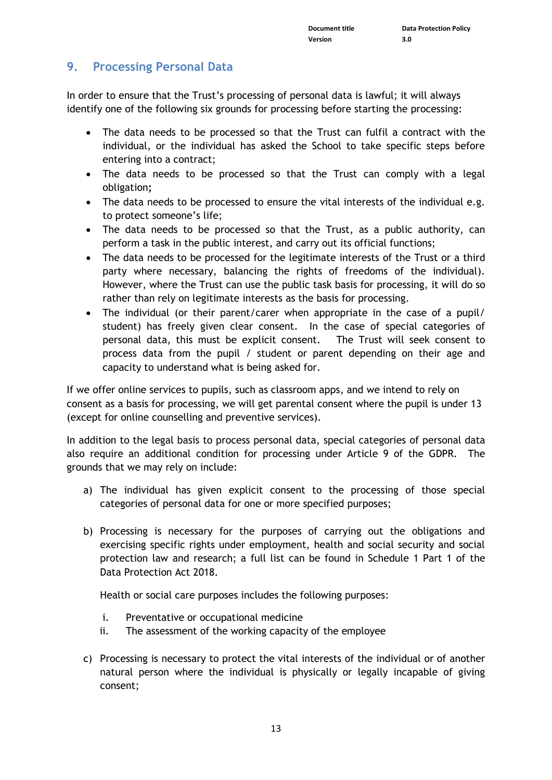## <span id="page-12-0"></span>**9. Processing Personal Data**

In order to ensure that the Trust's processing of personal data is lawful; it will always identify one of the following six grounds for processing before starting the processing:

- The data needs to be processed so that the Trust can fulfil a contract with the individual, or the individual has asked the School to take specific steps before entering into a contract;
- The data needs to be processed so that the Trust can comply with a legal obligation**;**
- The data needs to be processed to ensure the vital interests of the individual e.g. to protect someone's life;
- The data needs to be processed so that the Trust, as a public authority, can perform a task in the public interest, and carry out its official functions;
- The data needs to be processed for the legitimate interests of the Trust or a third party where necessary, balancing the rights of freedoms of the individual). However, where the Trust can use the public task basis for processing, it will do so rather than rely on legitimate interests as the basis for processing.
- The individual (or their parent/carer when appropriate in the case of a pupil/ student) has freely given clear consent. In the case of special categories of personal data, this must be explicit consent. The Trust will seek consent to process data from the pupil / student or parent depending on their age and capacity to understand what is being asked for.

If we offer online services to pupils, such as classroom apps, and we intend to rely on consent as a basis for processing, we will get parental consent where the pupil is under 13 (except for online counselling and preventive services).

In addition to the legal basis to process personal data, special categories of personal data also require an additional condition for processing under Article 9 of the GDPR. The grounds that we may rely on include:

- a) The individual has given explicit consent to the processing of those special categories of personal data for one or more specified purposes;
- b) Processing is necessary for the purposes of carrying out the obligations and exercising specific rights under employment, health and social security and social protection law and research; a full list can be found in Schedule 1 Part 1 of the Data Protection Act 2018.

Health or social care purposes includes the following purposes:

- i. Preventative or occupational medicine
- ii. The assessment of the working capacity of the employee
- c) Processing is necessary to protect the vital interests of the individual or of another natural person where the individual is physically or legally incapable of giving consent;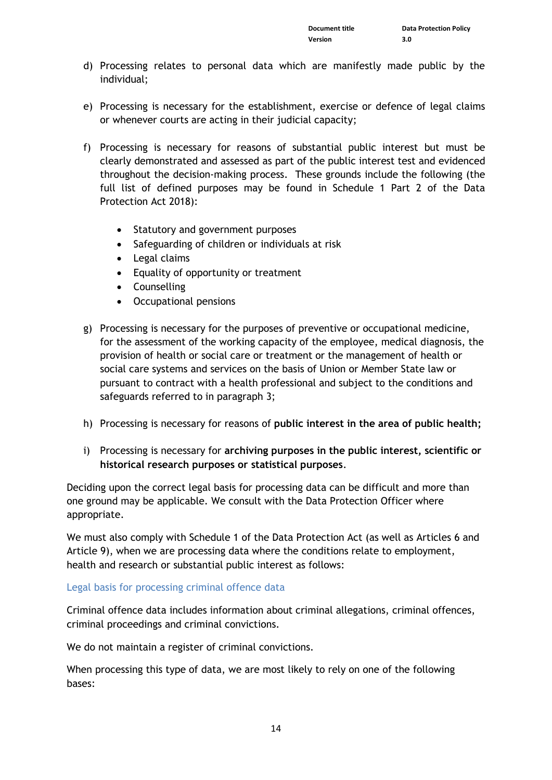- d) Processing relates to personal data which are manifestly made public by the individual;
- e) Processing is necessary for the establishment, exercise or defence of legal claims or whenever courts are acting in their judicial capacity;
- f) Processing is necessary for reasons of substantial public interest but must be clearly demonstrated and assessed as part of the public interest test and evidenced throughout the decision-making process. These grounds include the following (the full list of defined purposes may be found in Schedule 1 Part 2 of the Data Protection Act 2018):
	- Statutory and government purposes
	- Safeguarding of children or individuals at risk
	- Legal claims
	- Equality of opportunity or treatment
	- Counselling
	- Occupational pensions
- g) Processing is necessary for the purposes of preventive or occupational medicine, for the assessment of the working capacity of the employee, medical diagnosis, the provision of health or social care or treatment or the management of health or social care systems and services on the basis of Union or Member State law or pursuant to contract with a health professional and subject to the conditions and safeguards referred to in paragraph 3;
- h) Processing is necessary for reasons of **public interest in the area of public health;**
- i) Processing is necessary for **archiving purposes in the public interest, scientific or historical research purposes or statistical purposes**.

Deciding upon the correct legal basis for processing data can be difficult and more than one ground may be applicable. We consult with the Data Protection Officer where appropriate.

We must also comply with Schedule 1 of the Data Protection Act (as well as Articles 6 and Article 9), when we are processing data where the conditions relate to employment, health and research or substantial public interest as follows:

#### Legal basis for processing criminal offence data

Criminal offence data includes information about criminal allegations, criminal offences, criminal proceedings and criminal convictions.

We do not maintain a register of criminal convictions.

When processing this type of data, we are most likely to rely on one of the following bases: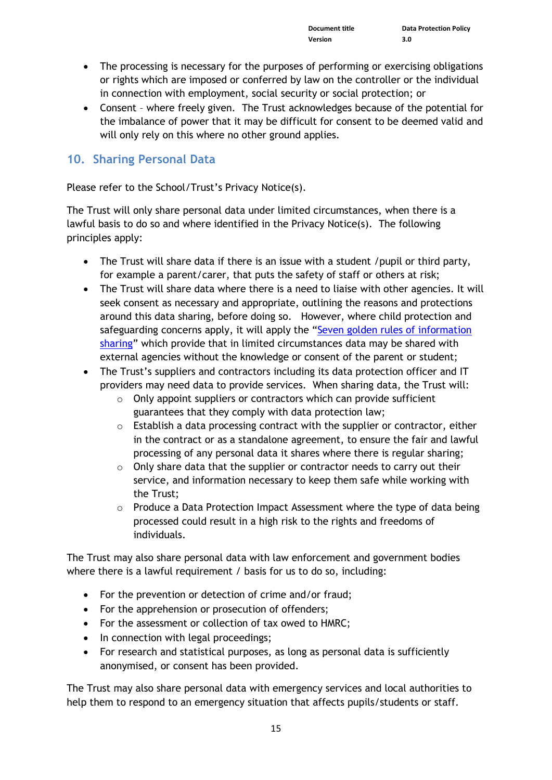- The processing is necessary for the purposes of performing or exercising obligations or rights which are imposed or conferred by law on the controller or the individual in connection with employment, social security or social protection; or
- Consent where freely given. The Trust acknowledges because of the potential for the imbalance of power that it may be difficult for consent to be deemed valid and will only rely on this where no other ground applies.

#### <span id="page-14-0"></span>**10. Sharing Personal Data**

Please refer to the School/Trust's Privacy Notice(s).

The Trust will only share personal data under limited circumstances, when there is a lawful basis to do so and where identified in the Privacy Notice(s). The following principles apply:

- The Trust will share data if there is an issue with a student /pupil or third party, for example a parent/carer, that puts the safety of staff or others at risk;
- The Trust will share data where there is a need to liaise with other agencies. It will seek consent as necessary and appropriate, outlining the reasons and protections around this data sharing, before doing so. However, where child protection and safeguarding concerns apply, it will apply the "Seven golden rules of information [sharing](https://assets.publishing.service.gov.uk/government/uploads/system/uploads/attachment_data/file/721581/Information_sharing_advice_practitioners_safeguarding_services.pdf)" which provide that in limited circumstances data may be shared with external agencies without the knowledge or consent of the parent or student;
- The Trust's suppliers and contractors including its data protection officer and IT providers may need data to provide services. When sharing data, the Trust will:
	- $\circ$  Only appoint suppliers or contractors which can provide sufficient guarantees that they comply with data protection law;
	- o Establish a data processing contract with the supplier or contractor, either in the contract or as a standalone agreement, to ensure the fair and lawful processing of any personal data it shares where there is regular sharing;
	- o Only share data that the supplier or contractor needs to carry out their service, and information necessary to keep them safe while working with the Trust;
	- o Produce a Data Protection Impact Assessment where the type of data being processed could result in a high risk to the rights and freedoms of individuals.

The Trust may also share personal data with law enforcement and government bodies where there is a lawful requirement / basis for us to do so, including:

- For the prevention or detection of crime and/or fraud;
- For the apprehension or prosecution of offenders;
- For the assessment or collection of tax owed to HMRC;
- In connection with legal proceedings;
- For research and statistical purposes, as long as personal data is sufficiently anonymised, or consent has been provided.

The Trust may also share personal data with emergency services and local authorities to help them to respond to an emergency situation that affects pupils/students or staff.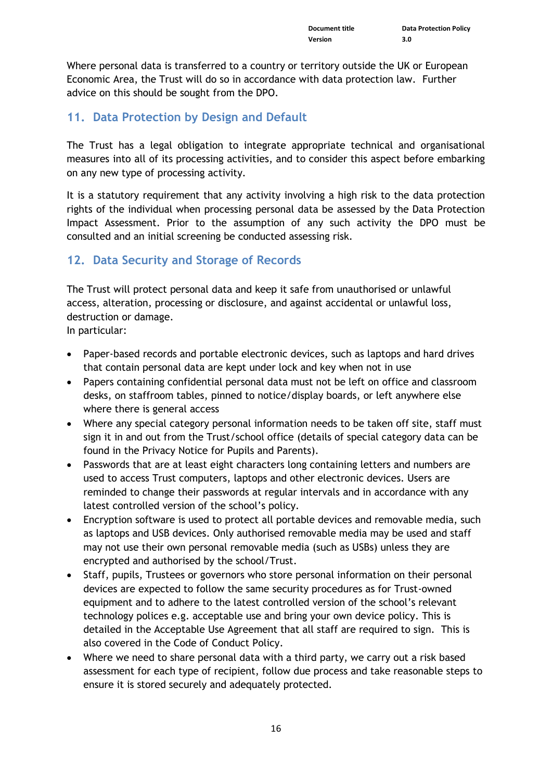Where personal data is transferred to a country or territory outside the UK or European Economic Area, the Trust will do so in accordance with data protection law. Further advice on this should be sought from the DPO.

## <span id="page-15-0"></span>**11. Data Protection by Design and Default**

The Trust has a legal obligation to integrate appropriate technical and organisational measures into all of its processing activities, and to consider this aspect before embarking on any new type of processing activity.

It is a statutory requirement that any activity involving a high risk to the data protection rights of the individual when processing personal data be assessed by the Data Protection Impact Assessment. Prior to the assumption of any such activity the DPO must be consulted and an initial screening be conducted assessing risk.

## <span id="page-15-1"></span>**12. Data Security and Storage of Records**

The Trust will protect personal data and keep it safe from unauthorised or unlawful access, alteration, processing or disclosure, and against accidental or unlawful loss, destruction or damage.

In particular:

- Paper-based records and portable electronic devices, such as laptops and hard drives that contain personal data are kept under lock and key when not in use
- Papers containing confidential personal data must not be left on office and classroom desks, on staffroom tables, pinned to notice/display boards, or left anywhere else where there is general access
- Where any special category personal information needs to be taken off site, staff must sign it in and out from the Trust/school office (details of special category data can be found in the Privacy Notice for Pupils and Parents).
- Passwords that are at least eight characters long containing letters and numbers are used to access Trust computers, laptops and other electronic devices. Users are reminded to change their passwords at regular intervals and in accordance with any latest controlled version of the school's policy.
- Encryption software is used to protect all portable devices and removable media, such as laptops and USB devices. Only authorised removable media may be used and staff may not use their own personal removable media (such as USBs) unless they are encrypted and authorised by the school/Trust.
- Staff, pupils, Trustees or governors who store personal information on their personal devices are expected to follow the same security procedures as for Trust-owned equipment and to adhere to the latest controlled version of the school's relevant technology polices e.g. acceptable use and bring your own device policy. This is detailed in the Acceptable Use Agreement that all staff are required to sign. This is also covered in the Code of Conduct Policy.
- Where we need to share personal data with a third party, we carry out a risk based assessment for each type of recipient, follow due process and take reasonable steps to ensure it is stored securely and adequately protected.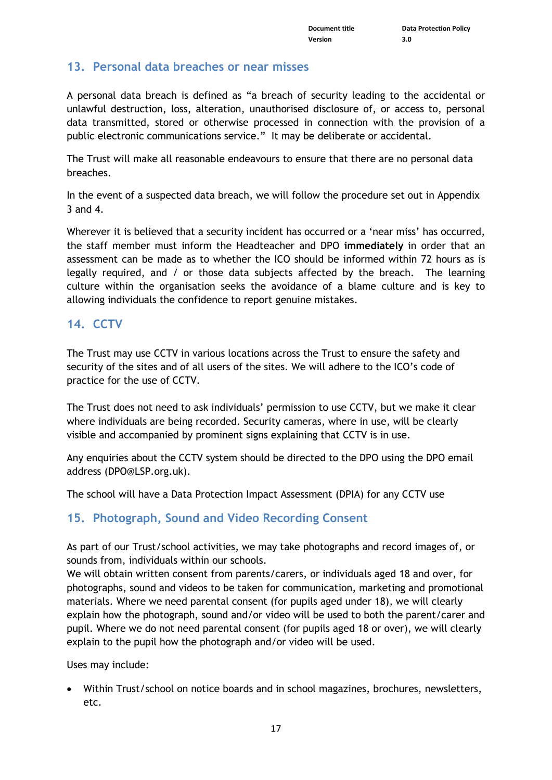## <span id="page-16-0"></span>**13. Personal data breaches or near misses**

A personal data breach is defined as "a breach of security leading to the accidental or unlawful destruction, loss, alteration, unauthorised disclosure of, or access to, personal data transmitted, stored or otherwise processed in connection with the provision of a public electronic communications service." It may be deliberate or accidental.

The Trust will make all reasonable endeavours to ensure that there are no personal data breaches.

In the event of a suspected data breach, we will follow the procedure set out in Appendix 3 and 4.

Wherever it is believed that a security incident has occurred or a 'near miss' has occurred, the staff member must inform the Headteacher and DPO **immediately** in order that an assessment can be made as to whether the ICO should be informed within 72 hours as is legally required, and / or those data subjects affected by the breach. The learning culture within the organisation seeks the avoidance of a blame culture and is key to allowing individuals the confidence to report genuine mistakes.

## <span id="page-16-1"></span>**14. CCTV**

The Trust may use CCTV in various locations across the Trust to ensure the safety and security of the sites and of all users of the sites. We will adhere to the ICO's code of practice for the use of CCTV.

The Trust does not need to ask individuals' permission to use CCTV, but we make it clear where individuals are being recorded. Security cameras, where in use, will be clearly visible and accompanied by prominent signs explaining that CCTV is in use.

Any enquiries about the CCTV system should be directed to the DPO using the DPO email address [\(DPO@LSP.org.uk\)](mailto:DPO@LSP.org.uk).

The school will have a Data Protection Impact Assessment (DPIA) for any CCTV use

## <span id="page-16-2"></span>**15. Photograph, Sound and Video Recording Consent**

As part of our Trust/school activities, we may take photographs and record images of, or sounds from, individuals within our schools.

We will obtain written consent from parents/carers, or individuals aged 18 and over, for photographs, sound and videos to be taken for communication, marketing and promotional materials. Where we need parental consent (for pupils aged under 18), we will clearly explain how the photograph, sound and/or video will be used to both the parent/carer and pupil. Where we do not need parental consent (for pupils aged 18 or over), we will clearly explain to the pupil how the photograph and/or video will be used.

Uses may include:

• Within Trust/school on notice boards and in school magazines, brochures, newsletters, etc.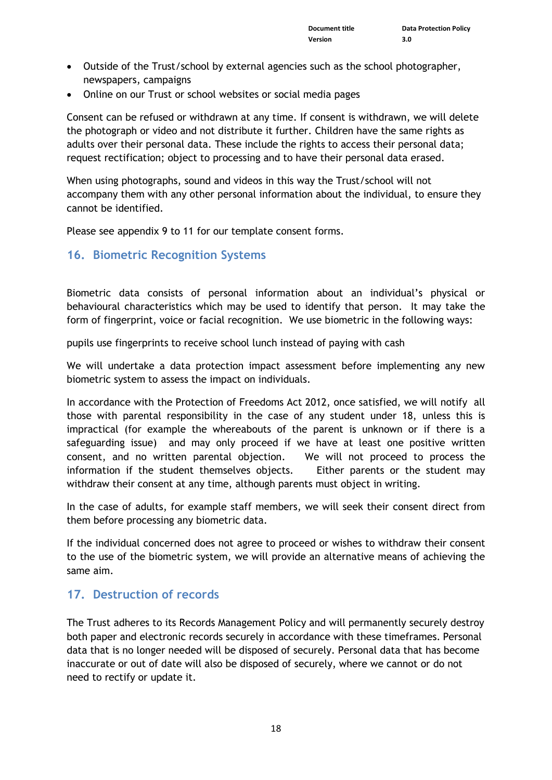- Outside of the Trust/school by external agencies such as the school photographer, newspapers, campaigns
- Online on our Trust or school websites or social media pages

Consent can be refused or withdrawn at any time. If consent is withdrawn, we will delete the photograph or video and not distribute it further. Children have the same rights as adults over their personal data. These include the rights to access their personal data; request rectification; object to processing and to have their personal data erased.

When using photographs, sound and videos in this way the Trust/school will not accompany them with any other personal information about the individual, to ensure they cannot be identified.

Please see appendix 9 to 11 for our template consent forms.

#### <span id="page-17-0"></span>**16. Biometric Recognition Systems**

Biometric data consists of personal information about an individual's physical or behavioural characteristics which may be used to identify that person. It may take the form of fingerprint, voice or facial recognition. We use biometric in the following ways:

pupils use fingerprints to receive school lunch instead of paying with cash

We will undertake a data protection impact assessment before implementing any new biometric system to assess the impact on individuals.

In accordance with the Protection of Freedoms Act 2012, once satisfied, we will notify all those with parental responsibility in the case of any student under 18, unless this is impractical (for example the whereabouts of the parent is unknown or if there is a safeguarding issue) and may only proceed if we have at least one positive written consent, and no written parental objection. We will not proceed to process the information if the student themselves objects. Either parents or the student may withdraw their consent at any time, although parents must object in writing.

In the case of adults, for example staff members, we will seek their consent direct from them before processing any biometric data.

If the individual concerned does not agree to proceed or wishes to withdraw their consent to the use of the biometric system, we will provide an alternative means of achieving the same aim.

## <span id="page-17-1"></span>**17. Destruction of records**

The Trust adheres to its Records Management Policy and will permanently securely destroy both paper and electronic records securely in accordance with these timeframes. Personal data that is no longer needed will be disposed of securely. Personal data that has become inaccurate or out of date will also be disposed of securely, where we cannot or do not need to rectify or update it.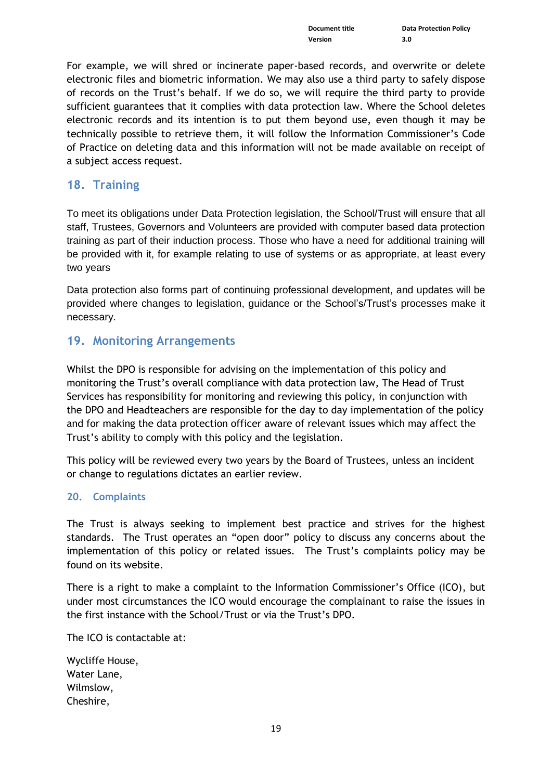For example, we will shred or incinerate paper-based records, and overwrite or delete electronic files and biometric information. We may also use a third party to safely dispose of records on the Trust's behalf. If we do so, we will require the third party to provide sufficient guarantees that it complies with data protection law. Where the School deletes electronic records and its intention is to put them beyond use, even though it may be technically possible to retrieve them, it will follow the Information Commissioner's Code of Practice on deleting data and this information will not be made available on receipt of a subject access request.

### <span id="page-18-0"></span>**18. Training**

To meet its obligations under Data Protection legislation, the School/Trust will ensure that all staff, Trustees, Governors and Volunteers are provided with computer based data protection training as part of their induction process. Those who have a need for additional training will be provided with it, for example relating to use of systems or as appropriate, at least every two years

Data protection also forms part of continuing professional development, and updates will be provided where changes to legislation, guidance or the School's/Trust's processes make it necessary.

### <span id="page-18-1"></span>**19. Monitoring Arrangements**

Whilst the DPO is responsible for advising on the implementation of this policy and monitoring the Trust's overall compliance with data protection law, The Head of Trust Services has responsibility for monitoring and reviewing this policy, in conjunction with the DPO and Headteachers are responsible for the day to day implementation of the policy and for making the data protection officer aware of relevant issues which may affect the Trust's ability to comply with this policy and the legislation.

This policy will be reviewed every two years by the Board of Trustees, unless an incident or change to regulations dictates an earlier review.

#### <span id="page-18-2"></span>**20. Complaints**

The Trust is always seeking to implement best practice and strives for the highest standards. The Trust operates an "open door" policy to discuss any concerns about the implementation of this policy or related issues. The Trust's complaints policy may be found on its website.

There is a right to make a complaint to the Information Commissioner's Office (ICO), but under most circumstances the ICO would encourage the complainant to raise the issues in the first instance with the School/Trust or via the Trust's DPO.

The ICO is contactable at:

Wycliffe House, Water Lane, Wilmslow, Cheshire,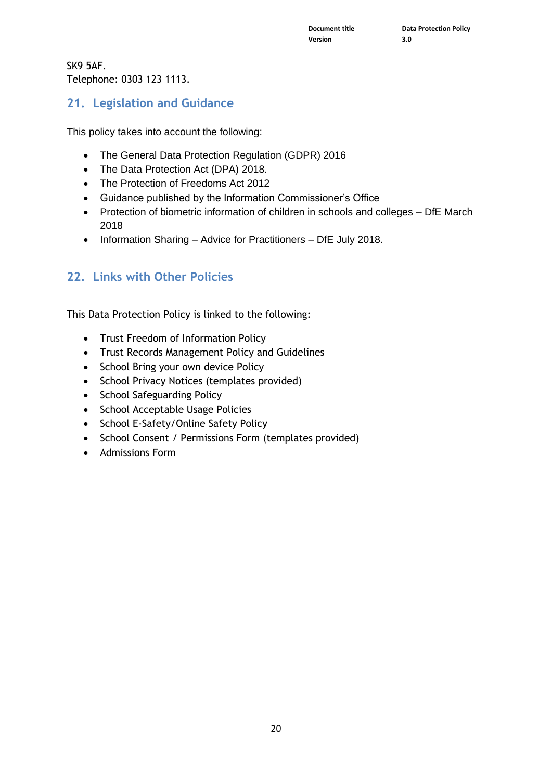SK9 5AF. Telephone: 0303 123 1113.

## <span id="page-19-0"></span>**21. Legislation and Guidance**

This policy takes into account the following:

- The General Data Protection Regulation (GDPR) 2016
- The Data Protection Act (DPA) 2018.
- The Protection of Freedoms Act 2012
- Guidance published by the Information Commissioner's Office
- Protection of biometric information of children in schools and colleges DfE March 2018
- Information Sharing Advice for Practitioners DfE July 2018.

## <span id="page-19-1"></span>**22. Links with Other Policies**

This Data Protection Policy is linked to the following:

- Trust Freedom of Information Policy
- Trust Records Management Policy and Guidelines
- School Bring your own device Policy
- School Privacy Notices (templates provided)
- School Safeguarding Policy
- School Acceptable Usage Policies
- School E-Safety/Online Safety Policy
- School Consent / Permissions Form (templates provided)
- Admissions Form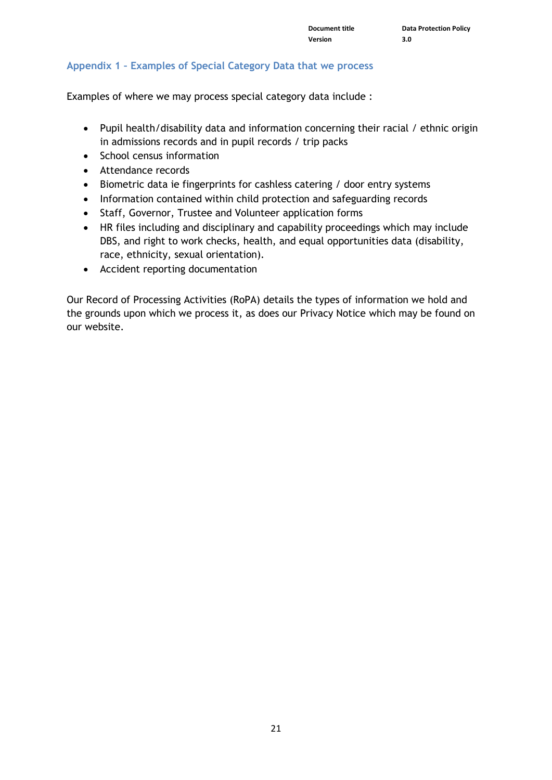#### <span id="page-20-0"></span>**Appendix 1 – Examples of Special Category Data that we process**

Examples of where we may process special category data include :

- Pupil health/disability data and information concerning their racial / ethnic origin in admissions records and in pupil records / trip packs
- School census information
- Attendance records
- Biometric data ie fingerprints for cashless catering / door entry systems
- Information contained within child protection and safeguarding records
- Staff, Governor, Trustee and Volunteer application forms
- HR files including and disciplinary and capability proceedings which may include DBS, and right to work checks, health, and equal opportunities data (disability, race, ethnicity, sexual orientation).
- Accident reporting documentation

Our Record of Processing Activities (RoPA) details the types of information we hold and the grounds upon which we process it, as does our Privacy Notice which may be found on our website.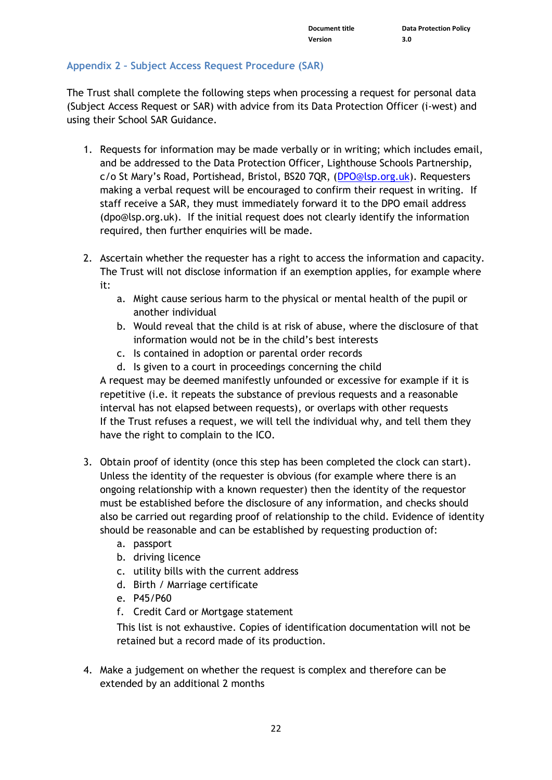#### <span id="page-21-0"></span>**Appendix 2 – Subject Access Request Procedure (SAR)**

The Trust shall complete the following steps when processing a request for personal data (Subject Access Request or SAR) with advice from its Data Protection Officer (i-west) and using their School SAR Guidance.

- 1. Requests for information may be made verbally or in writing; which includes email, and be addressed to the Data Protection Officer, Lighthouse Schools Partnership, c/o St Mary's Road, Portishead, Bristol, BS20 7QR, ([DPO@lsp.org.uk\)](file:///C:/Users/tjoyce/AppData/Local/Microsoft/Windows/INetCache/Content.Outlook/ZJ7Z5TS3/DPO@lsp.org.uk). Requesters making a verbal request will be encouraged to confirm their request in writing. If staff receive a SAR, they must immediately forward it to the DPO email address (dpo@lsp.org.uk). If the initial request does not clearly identify the information required, then further enquiries will be made.
- 2. Ascertain whether the requester has a right to access the information and capacity. The Trust will not disclose information if an exemption applies, for example where it:
	- a. Might cause serious harm to the physical or mental health of the pupil or another individual
	- b. Would reveal that the child is at risk of abuse, where the disclosure of that information would not be in the child's best interests
	- c. Is contained in adoption or parental order records
	- d. Is given to a court in proceedings concerning the child

A request may be deemed manifestly unfounded or excessive for example if it is repetitive (i.e. it repeats the substance of previous requests and a reasonable interval has not elapsed between requests), or overlaps with other requests If the Trust refuses a request, we will tell the individual why, and tell them they have the right to complain to the ICO.

- 3. Obtain proof of identity (once this step has been completed the clock can start). Unless the identity of the requester is obvious (for example where there is an ongoing relationship with a known requester) then the identity of the requestor must be established before the disclosure of any information, and checks should also be carried out regarding proof of relationship to the child. Evidence of identity should be reasonable and can be established by requesting production of:
	- a. passport
	- b. driving licence
	- c. utility bills with the current address
	- d. Birth / Marriage certificate
	- e. P45/P60
	- f. Credit Card or Mortgage statement

This list is not exhaustive. Copies of identification documentation will not be retained but a record made of its production.

4. Make a judgement on whether the request is complex and therefore can be extended by an additional 2 months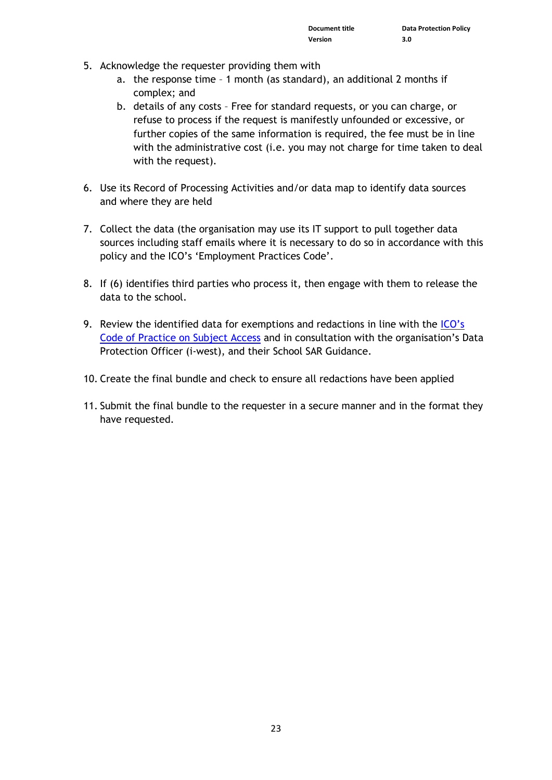- 5. Acknowledge the requester providing them with
	- a. the response time 1 month (as standard), an additional 2 months if complex; and
	- b. details of any costs Free for standard requests, or you can charge, or refuse to process if the request is manifestly unfounded or excessive, or further copies of the same information is required, the fee must be in line with the administrative cost (i.e. you may not charge for time taken to deal with the request).
- 6. Use its Record of Processing Activities and/or data map to identify data sources and where they are held
- 7. Collect the data (the organisation may use its IT support to pull together data sources including staff emails where it is necessary to do so in accordance with this policy and the ICO's 'Employment Practices Code'.
- 8. If (6) identifies third parties who process it, then engage with them to release the data to the school.
- 9. Review the identified data for exemptions and redactions in line with the ICO's [Code of Practice on Subject Access](https://ico.org.uk/media/for-organisations/documents/2014223/subject-access-code-of-practice.pdf) and in consultation with the organisation's Data Protection Officer (i-west), and their School SAR Guidance.
- 10. Create the final bundle and check to ensure all redactions have been applied
- 11. Submit the final bundle to the requester in a secure manner and in the format they have requested.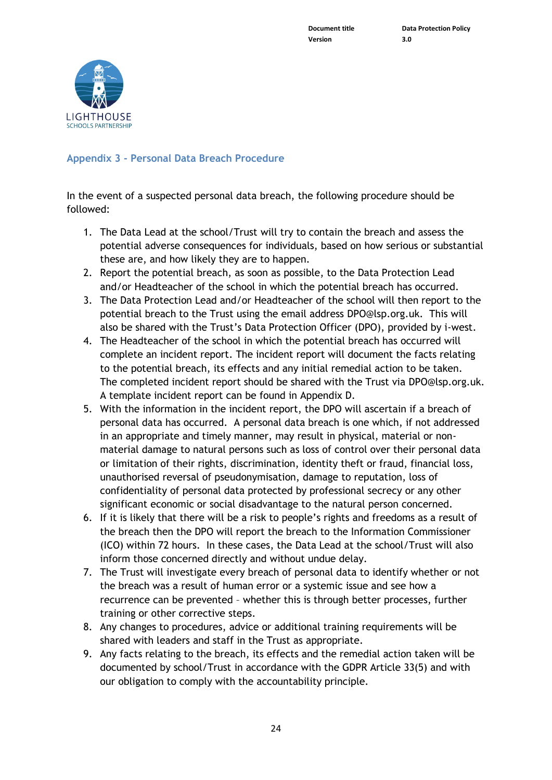**Version 3.0**



#### <span id="page-23-0"></span>**Appendix 3 - Personal Data Breach Procedure**

In the event of a suspected personal data breach, the following procedure should be followed:

- 1. The Data Lead at the school/Trust will try to contain the breach and assess the potential adverse consequences for individuals, based on how serious or substantial these are, and how likely they are to happen.
- 2. Report the potential breach, as soon as possible, to the Data Protection Lead and/or Headteacher of the school in which the potential breach has occurred.
- 3. The Data Protection Lead and/or Headteacher of the school will then report to the potential breach to the Trust using the email address [DPO@lsp.org.uk.](mailto:DPO@lsp.org.uk) This will also be shared with the Trust's Data Protection Officer (DPO), provided by i-west.
- 4. The Headteacher of the school in which the potential breach has occurred will complete an incident report. The incident report will document the facts relating to the potential breach, its effects and any initial remedial action to be taken. The completed incident report should be shared with the Trust via [DPO@lsp.org.uk.](mailto:DPO@lsp.org.uk) A template incident report can be found in Appendix D.
- 5. With the information in the incident report, the DPO will ascertain if a breach of personal data has occurred. A personal data breach is one which, if not addressed in an appropriate and timely manner, may result in physical, material or nonmaterial damage to natural persons such as loss of control over their personal data or limitation of their rights, discrimination, identity theft or fraud, financial loss, unauthorised reversal of pseudonymisation, damage to reputation, loss of confidentiality of personal data protected by professional secrecy or any other significant economic or social disadvantage to the natural person concerned.
- 6. If it is likely that there will be a risk to people's rights and freedoms as a result of the breach then the DPO will report the breach to the Information Commissioner (ICO) within 72 hours. In these cases, the Data Lead at the school/Trust will also inform those concerned directly and without undue delay.
- 7. The Trust will investigate every breach of personal data to identify whether or not the breach was a result of human error or a systemic issue and see how a recurrence can be prevented – whether this is through better processes, further training or other corrective steps.
- 8. Any changes to procedures, advice or additional training requirements will be shared with leaders and staff in the Trust as appropriate.
- 9. Any facts relating to the breach, its effects and the remedial action taken will be documented by school/Trust in accordance with the GDPR Article 33(5) and with our obligation to comply with the accountability principle.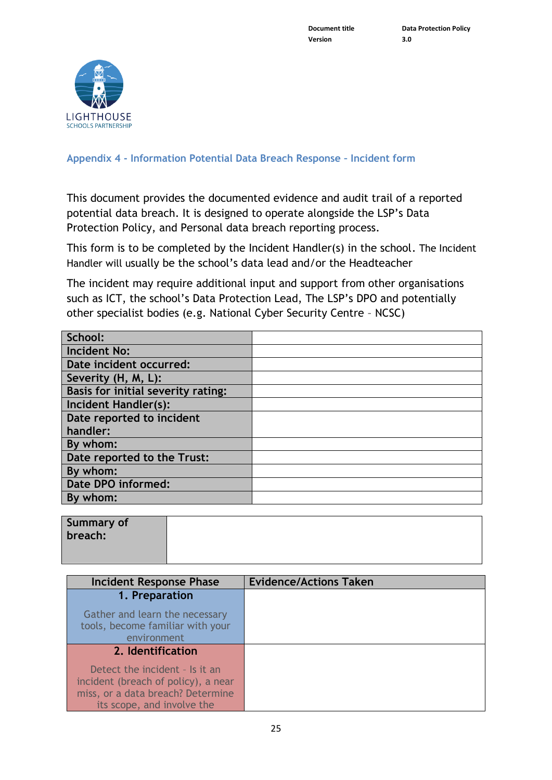

<span id="page-24-0"></span>**Appendix 4 - Information Potential Data Breach Response – Incident form**

This document provides the documented evidence and audit trail of a reported potential data breach. It is designed to operate alongside the LSP's Data Protection Policy, and Personal data breach reporting process.

This form is to be completed by the Incident Handler(s) in the school. The Incident Handler will usually be the school's data lead and/or the Headteacher

The incident may require additional input and support from other organisations such as ICT, the school's Data Protection Lead, The LSP's DPO and potentially other specialist bodies (e.g. National Cyber Security Centre – NCSC)

| School:                            |  |
|------------------------------------|--|
| <b>Incident No:</b>                |  |
| Date incident occurred:            |  |
| Severity (H, M, L):                |  |
| Basis for initial severity rating: |  |
| <b>Incident Handler(s):</b>        |  |
| Date reported to incident          |  |
| handler:                           |  |
| By whom:                           |  |
| Date reported to the Trust:        |  |
| By whom:                           |  |
| Date DPO informed:                 |  |
| By whom:                           |  |

| Summary of<br>breach: |  |
|-----------------------|--|
|                       |  |

| Incident Response Phase                                                                                                                  | <b>Evidence/Actions Taken</b> |
|------------------------------------------------------------------------------------------------------------------------------------------|-------------------------------|
| 1. Preparation                                                                                                                           |                               |
| Gather and learn the necessary<br>tools, become familiar with your<br>environment                                                        |                               |
| 2. Identification                                                                                                                        |                               |
| Detect the incident - Is it an<br>incident (breach of policy), a near<br>miss, or a data breach? Determine<br>its scope, and involve the |                               |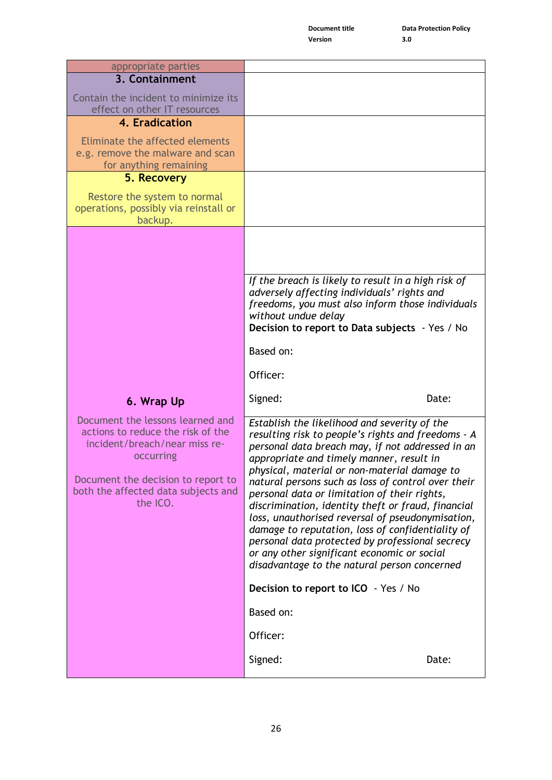**Version 3.0**

| appropriate parties                                                                                                                                                                                          |                                                                                                                                                                                                                                                                                                                                                                                                                                                                                                                                                                                                                                                                          |
|--------------------------------------------------------------------------------------------------------------------------------------------------------------------------------------------------------------|--------------------------------------------------------------------------------------------------------------------------------------------------------------------------------------------------------------------------------------------------------------------------------------------------------------------------------------------------------------------------------------------------------------------------------------------------------------------------------------------------------------------------------------------------------------------------------------------------------------------------------------------------------------------------|
| 3. Containment                                                                                                                                                                                               |                                                                                                                                                                                                                                                                                                                                                                                                                                                                                                                                                                                                                                                                          |
| Contain the incident to minimize its<br>effect on other IT resources                                                                                                                                         |                                                                                                                                                                                                                                                                                                                                                                                                                                                                                                                                                                                                                                                                          |
| 4. Eradication                                                                                                                                                                                               |                                                                                                                                                                                                                                                                                                                                                                                                                                                                                                                                                                                                                                                                          |
| Eliminate the affected elements<br>e.g. remove the malware and scan<br>for anything remaining                                                                                                                |                                                                                                                                                                                                                                                                                                                                                                                                                                                                                                                                                                                                                                                                          |
| 5. Recovery                                                                                                                                                                                                  |                                                                                                                                                                                                                                                                                                                                                                                                                                                                                                                                                                                                                                                                          |
| Restore the system to normal<br>operations, possibly via reinstall or<br>backup.                                                                                                                             |                                                                                                                                                                                                                                                                                                                                                                                                                                                                                                                                                                                                                                                                          |
|                                                                                                                                                                                                              | If the breach is likely to result in a high risk of<br>adversely affecting individuals' rights and                                                                                                                                                                                                                                                                                                                                                                                                                                                                                                                                                                       |
|                                                                                                                                                                                                              | freedoms, you must also inform those individuals<br>without undue delay<br>Decision to report to Data subjects - Yes / No                                                                                                                                                                                                                                                                                                                                                                                                                                                                                                                                                |
|                                                                                                                                                                                                              | Based on:                                                                                                                                                                                                                                                                                                                                                                                                                                                                                                                                                                                                                                                                |
|                                                                                                                                                                                                              | Officer:                                                                                                                                                                                                                                                                                                                                                                                                                                                                                                                                                                                                                                                                 |
| 6. Wrap Up                                                                                                                                                                                                   | Signed:<br>Date:                                                                                                                                                                                                                                                                                                                                                                                                                                                                                                                                                                                                                                                         |
| Document the lessons learned and<br>actions to reduce the risk of the<br>incident/breach/near miss re-<br>occurring<br>Document the decision to report to<br>both the affected data subjects and<br>the ICO. | Establish the likelihood and severity of the<br>resulting risk to people's rights and freedoms - A<br>personal data breach may, if not addressed in an<br>appropriate and timely manner, result in<br>physical, material or non-material damage to<br>natural persons such as loss of control over their<br>personal data or limitation of their rights,<br>discrimination, identity theft or fraud, financial<br>loss, unauthorised reversal of pseudonymisation,<br>damage to reputation, loss of confidentiality of<br>personal data protected by professional secrecy<br>or any other significant economic or social<br>disadvantage to the natural person concerned |
|                                                                                                                                                                                                              | Decision to report to ICO - Yes / No                                                                                                                                                                                                                                                                                                                                                                                                                                                                                                                                                                                                                                     |
|                                                                                                                                                                                                              | Based on:                                                                                                                                                                                                                                                                                                                                                                                                                                                                                                                                                                                                                                                                |
|                                                                                                                                                                                                              | Officer:                                                                                                                                                                                                                                                                                                                                                                                                                                                                                                                                                                                                                                                                 |
|                                                                                                                                                                                                              | Signed:<br>Date:                                                                                                                                                                                                                                                                                                                                                                                                                                                                                                                                                                                                                                                         |